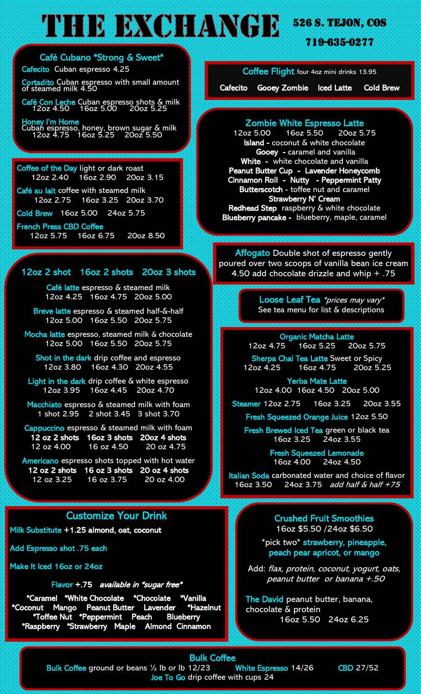# **THE DELANCER 526 S. TEJON, COS.**

719-635-0277

Café Cubano \*Strong & Sweet\* Cafecito Cuban espresso 4.25

j Cortadito Cuban espresso with small amount of steamed milk 4.50 j

Café Con Leche Cuban espresso shots & milk 12oz 4.50 16oz 5.00 20oz 5.25

j Honey I'm Home Cuban espresso, honey, brown sugar & milk 12oz 4.75 16oz 5.25 20oz 5.50

#### Coffee of the Day light or dark roast 12oz 2.40 16oz 2.90 20oz 3.15

 Café au lait coffee with steamed milk 12oz 2.75 16oz 3.25 20oz 3.70

Cold Brew 16oz 5.00 24oz 5.75

#### French Press CBD Coffee

12oz 5.75 16oz 6.75 20oz 8.50

#### 12oz 2 shot 16oz 2 shots 20oz 3 shots

 Café latte espresso & steamed milk 12oz 4.25 16oz 4.75 20oz 5.00

Breve latte espresso & steamed half-&-half 12oz 5.00 16oz 5.50 20oz 5.75

Mocha latte espresso, steamed milk & chocolate 12oz 5.00 16oz 5.50 20oz 5.75

Shot in the dark drip coffee and espresso 12oz 3.80 16oz 4.30 20oz 4.55

Light in the dark drip coffee  $\bar{\alpha}$  white espresso 12oz 3.95 16oz 4.45 20oz 4.70

Macchiato espresso & steamed milk with foam 1 shot 2.95 2 shot 3.45 3 shot 3.70

Cappuccino espresso & steamed milk with foam 12 oz 2 shots 16oz 3 shots 20oz 4 shots 12 oz 4.00 16 oz 4.50 20 oz 4.75

Americano espresso shots topped with hot water 12 oz 2 shots 16 oz 3 shots 20 oz 4 shots<br>12 oz 3.25 16 oz 3.75 20 oz 4.00 12 oz 3.25 16 oz 3.75

### Customize Your Drink

Milk Substitute +1.25 almond, oat, coconut

Add Espresso shot .75 each

Make It Iced 16oz or 24oz

#### Flavor +.75 available in \*sugar free\*

\*Caramel \*White Chocolate \*Chocolate \*Vanilla<br><u>conut Mango Pea</u>nut Butter Lavender \*Hazelnut \*Coconut Mango Peanut-Butter Lavender \*Toffee Nut \*Peppermint Peach Blueberry \*Raspberry \*Strawberry Maple Almond Cinnamon

Coffee Flight four 4oz mini drinks 13.95

Cafecito Gooey Zombie Iced Latte Cold Brew

## Zombie White Espresso Latte

 $16$ oz 5.50 Island - coconut & white chocolate Gooey - caramel and vanilla White - white chocolate and vanilla Peanut Butter Cup - Lavender Honeycomb Cinnamon Roll - Nutty - Peppermint Patty Butterscotch - toffee nut and caramel Strawberry N' Cream Redhead Step raspberry & white chocolate Blueberry pancake - blueberry, maple, caramel

Affogato Double shot of espresso gently poured over two scoops of vanilla bean ice cream 4.50 add chocolate drizzle and whip  $+ .75$ 

> Loose Leaf Tea \*prices may vary\* See tea menu for list & descriptions

Organic Matcha Latte<br>
15 160z 5.25 200z 5.75  $12oz 4.75 - 16oz 5.25$ 

Sherpa Chai Tea Latte Sweet or Spicy 12oz 4.25 16oz 4.75 20oz 5.25

 Yerba Mate Latte 12oz 4.00 16oz 4.50 20oz 5.00

Steamer 12oz 2.75 16oz 3.25 20oz 3.55

Fresh Squeezed Orange Juice 12oz 5.50

Fresh Brewed Iced Tea green or black tea 16oz 3.25 24oz 3.55

> Fresh Squeezed Lemonade<br>16oz 4.00 24oz 4.50 16oz 4.00

 Italian Soda carbonated water and choice of flavor 16oz 3.50 24oz 3.75 add half & half +75

> Crushed Fruit Smoothies 16oz \$5.50 /24oz \$6.50

\*pick two\* strawberry, pineapple, peach pear apricot, or mango

Add: flax, protein, coconut, yogurt, oats, peanut butter or banana +.50

The David peanut butter, banana, chocolate & protein 16oz 5.50 24oz 6.25

### Bulk Coffee

Bulk Coffee ground or beans 1/2 lb or lb 12/23 White Espresso 14/26 CBD 27/52 Joe To Go drip coffee with cups 24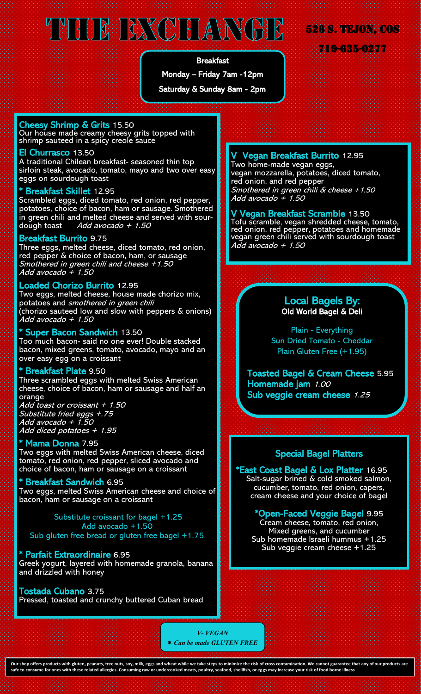# THE BXCHANGE

#### Breakfast

Monday – Friday 7am -12pm

Saturday & Sunday 8am - 2pm

## Cheesy Shrimp & Grits 15.50

Our house made creamy cheesy grits topped with shrimp sauteed in a spicy creole sauce

#### El Churrasco 13.50

A traditional Chilean breakfast- seasoned thin top sirloin steak, avocado, tomato, mayo and two over easy eggs on sourdough toast

#### Breakfast Skillet 12.95

Scrambled eggs, diced tomato, red onion, red pepper, potatoes, choice of bacon, ham or sausage. Smothered in green chili and melted cheese and served with sourdough toast Add avocado + 1.50

#### Breakfast Burrito 9.75

Three eggs, melted cheese, diced tomato, red onion, red pepper & choice of bacon, ham, or sausage Smothered in green chili and cheese +1.50 Add avocado + 1.50

#### Loaded Chorizo Burrito 12.95

Two eggs, melted cheese, house made chorizo mix, potatoes and smothered in green chili (chorizo sauteed low and slow with peppers & onions) Add avocado + 1.50

#### Super Bacon Sandwich 13.50

Too much bacon- said no one ever! Double stacked bacon, mixed greens, tomato, avocado, mayo and an over easy egg on a croissant

#### **Breakfast Plate 9.50**

Three scrambled eggs with melted Swiss American cheese, choice of bacon, ham or sausage and half an orange

Add toast or croissant + 1.50 Substitute fried eggs +.75 Add avocado + 1.50 Add diced potatoes + 1.95

#### Mama Donna 7.95

Two eggs with melted Swiss American cheese, diced tomato, red onion, red pepper, sliced avocado and choice of bacon, ham or sausage on a croissant

#### **Breakfast Sandwich 6.95**

Two eggs, melted Swiss American cheese and choice of bacon, ham or sausage on a croissant

 Substitute croissant for bagel +1.25 Add avocado +1.50 Sub gluten free bread or gluten free bagel +1.75

#### \* Parfait Extraordinaire 6.95

Greek yogurt, layered with homemade granola, banana and drizzled with honey

## Tostada Cubano 3.75

Pressed, toasted and crunchy buttered Cuban bread

### V Vegan Breakfast Burrito 12.95

Two home-made vegan eggs, vegan mozzarella, potatoes, diced tomato, red onion, and red pepper Smothered in green chili & cheese +1.50 Add avocado + 1.50

526 S. Tejon, COS

719-635-0277

#### V Vegan Breakfast Scramble 13.50

Tofu scramble, vegan shredded cheese, tomato, red onion, red pepper, potatoes and homemade vegan green chili served with sourdough toast Add avocado + 1.50

#### Local Bagels By: Old World Bagel & Deli

Plain - Everything Sun Dried Tomato - Cheddar Plain Gluten Free (+1.95)

Toasted Bagel & Cream Cheese 5.95 Homemade jam 1.00 Sub veggie cream cheese 1.25

#### Special Bagel Platters

\*East Coast Bagel & Lox Platter 16.95 Salt-sugar brined & cold smoked salmon, cucumber, tomato, red onion, capers, cream cheese and your choice of bagel

\*Open-Faced Veggie Bagel 9.95 Cream cheese, tomato, red onion, Mixed greens, and cucumber Sub homemade Israeli hummus +1.25 Sub veggie cream cheese +1.25

*V- VEGAN Can be made GLUTEN FREE*

**Our shop offers products with gluten, peanuts, tree nuts, soy, milk, eggs and wheat while we take steps to minimize the risk of cross contamination. We cannot guarantee that any of our products are safe to consume for ones with these related allergies. Consuming raw or undercooked meats, poultry, seafood, shellfish, or eggs may increase your risk of food borne illness**